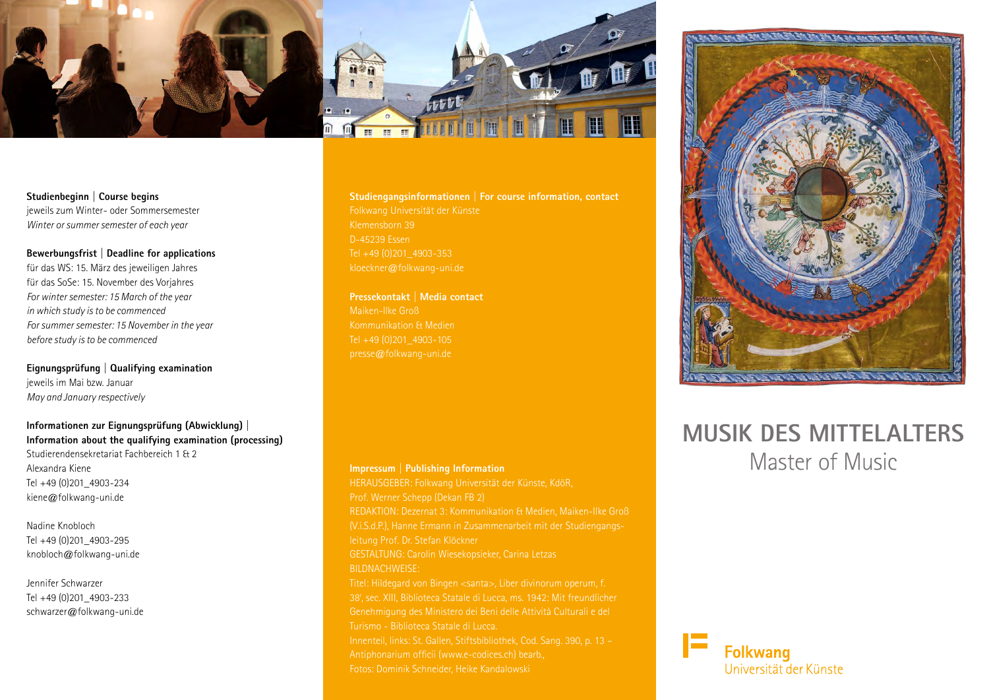

**Studienbeginn | Course begins** jeweils zum Winter- oder Sommersemester *Winter or summer semester of each year*

**Bewerbungsfrist | Deadline for applications** für das WS: 15. März des jeweiligen Jahres für das SoSe: 15. November des Vorjahres *For winter semester: 15 March of the year in which study is to be commenced For summer semester: 15 November in the year before study is to be commenced*

**Eignungsprüfung | Qualifying examination** jeweils im Mai bzw. Januar *May and January respectively*

**Informationen zur Eignungsprüfung (Abwicklung) | Information about the qualifying examination (processing)** Studierendensekretariat Fachbereich 1 & 2 Alexandra Kiene Tel +49 (0)201\_4903-234 kiene@folkwang-uni.de

Nadine Knobloch Tel +49 (0)201\_4903-295 knobloch@folkwang-uni.de

Jennifer Schwarzer Tel +49 (0)201\_4903-233 schwarzer@folkwang-uni.de **Studiengangsinformationen | For course information, contact** D-45239 Essen Tel +49 (0)201\_4903-353 kloeckner@folkwang-uni.de

**Pressekontakt | Media contact** Maiken-Ilke Groß Kommunikation & Medien Tel +49 (0)201\_4903-105 presse@folkwang-uni.de

**Impressum | Publishing Information** HERAUSGEBER: Folkwang Universität der Künste, KdöR, Prof. Werner Schepp (Dekan FB 2) REDAKTION: Dezernat 3: Kommunikation & Medien, Maiken-Ilke Groß leitung Prof. Dr. Stefan Klöckner GESTALTUNG: Carolin Wiesekopsieker, Carina Letzas BILDNACHWEISE: Genehmigung des Ministero dei Beni delle Attività Culturali e del Turismo - Biblioteca Statale di Lucca. Innenteil, links: St. Gallen, Stiftsbibliothek, Cod. Sang. 390, p. 13 – Antiphonarium officii (www.e-codices.ch) bearb., Fotos: Dominik Schneider, Heike Kandalowski



# **MUSIK DES MITTELALTERS** Master of Music

**Folkwang** 

Universität der Künste